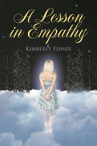## KIMBERLY FISHER

THE

A Lesson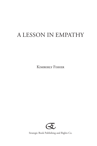# A Lesson in Empathy

Kimberly Fisher



Strategic Book Publishing and Rights Co. Publishing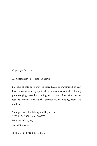Copyright © 2013

All rights reserved – Kimberly Fisher

No part of this book may be reproduced or transmitted in any form or by any means, graphic, electronic, or mechanical, including photocopying, recording, taping, or by any information storage retrieval system, without the permission, in writing, from the publisher.

Strategic Book Publishing and Rights Co. 12620 FM 1960, Suite A4-507 Houston, TX 77065 www.sbpra.com

iSBn: 978-1-68181-734-7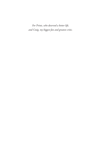*For Prints, who deserved a better life, and Craig, my biggest fan and greatest critic.*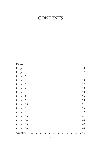## **CONTENTS**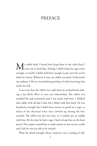### **PREFACE**

Went out to feed him. Perhaps I didn't keep his cage warm enough, or maybe I didn't feed him enough to put extra fat on his body for winter. Whatever it was, my rabbit was dead. Underneath my sadness, I felt an overwhelming feeling of relief; knowing that made me sick.

It was true that the rabbit was a gift from an ex-boyfriend making a last-ditch effort to save our relationship. The rabbit was unasked for and unwanted, and I was stuck with him. I disliked that rabbit with all that I had, but I didn't wish him dead. He was handsome enough, but I didn't have money to spend on a cage, so many of my electrical wires were chewed up during the first months. The rabbit was not very nice, so I couldn't pet or cuddle with him. By the time he had a cage, I had to keep him on the back porch. His temper caused him to make messes in any way he could, and I felt he was too old to be trained.

What his death brought about, however, was a feeling of self-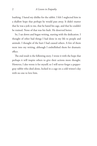loathing. I hated my dislike for the rabbit. I felt I neglected him in a shallow hope that perhaps he would pass away. It didn't matter that he was a jerk to me, that he hated his cage, and that he couldn't be trained. None of that was his fault. He deserved better.

So, I sat down and began writing, starting with the dedication. I thought of other bad things I had done in my life to people and animals. I thought of the hurt I had caused others. A few of them went into my writing, although I embellished them for dramatic effect.

The end result is the following story. I wrote it with the hope that perhaps it will inspire others to give their actions more thought. However, I also wrote it for myself; so I will never forget a peppergray rabbit who died alone, locked in a cage on a cold winter's day with no one to love him.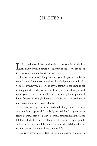### CHAPTER 1

It all started when I died. Although I'm not sure how I died or<br>Leven exactly when, I doubt it is relevant to the story I am about  $\blacktriangle$  even exactly when, I doubt it is relevant to the story I am about to convey; because it all started when I died.

However you think it happens when you die, you are probably right. I gather from my surroundings that God pretty much decides your fate by how you perceive it. If you think you are going to rot in the ground and that is the end, I imagine that is how you will spend your eternity. The atheist's hell. I'm not going to pretend I know for certain, though, because—let's face it—I'm dead, and I don't even know how it came about.

So, I was standing there, dead, ready to be judged when the most amazing thing happened: I suddenly realized that I may not make it into heaven. I may not deserve heaven. I reflected on all the deeds I'd done, all the horrible, terrible things I've inflicted upon people and other creatures, and it became clear to me that I did not deserve to go to heaven. I did not deserve eternal life.

This is an easier idea to deal with when one is not standing in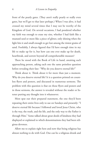front of the pearly gates. (They aren't really pearly or really even gates, but we'll get to that later perhaps.) When I was alive, it had crossed my mind several times that I may not be worthy of the Kingdom of God. On several occasions, I had pondered whether my faith was enough to erase my sins, whether I had faith like a mustard seed or more like a piece of glitter, only shining when the light hits it and small enough to get lost among the tiniest grains of sand. Foolishly, I always figured that I'd have enough time in my life to make up for it, but how can one ever make up for death, heartbreak, and sorrow beyond all comprehensible measure?

There he stood with the Book of Life in hand, awaiting each approaching person, asking each one the same pointless question before revealing their fate: "Why do you deserve eternal life?"

Think about it. Think about it for more than just a moment. Why do you deserve eternal life? It is a question printed on countless flyers and posters, and discussed in numerous sermons. The problem with this question is that on those flyers and posters and in those sermons, the answer is revealed without the reader or listener putting any thought into it whatsoever.

Most spat out their prepared statement, the one they'd been repeating their entire lives only to use on Sundays and presently: "I deserve eternal life because I followed and loved Jesus Christ, who is the way, the truth, and the life, and the only way to the Father is through Him." Some talked about great deeds of kindness they had displayed or explained to which denominations they had been religious devotees.

Allow me to explain right here and now that being religious has almost nothing to do with God. One can be a religious drunk and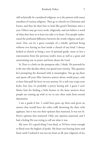still technically be considered religious, as is the pattern with many members of various religions. They go to church on Christmas and Easter, and they do their best to look like good Christians twice a year. Others may go every week, religiously, and not believe a word of what they hear or at least not take it to heart. Few people understand the profound difference between the words *religious* and *spiritual*. One can be a great example of a wholly spiritual being without ever having set foot inside a church of any kind. I always looked at church as being a sort of spiritual guide, more or less a rejuvenation from the previous week's woes as well as a great and entertaining way to praise and learn about the Lord.

St. Peter is a little on the pompous side, I think. He pretends he is the one who decides where you spend your eternity. This question he's prompting the deceased with is meaningless. You go up there and spout off your Miss America answer about world peace, only to have him pull the lever on you anyway. It's a sick way to get your kicks, but, hey, it's probably a pretty boring job. I guess I can't blame him for finding a little humor in the lame answers these people are coming up with to try to save their souls from eternal damnation.

I am a grade-A liar. I could have gone up there and given an answer that would have the other stiffs drowning the skies with applause, but it was not their opinion that mattered. It was not St. Peter's opinion that mattered. Only one opinion mattered, and I had a feeling He was trying to tell me what it was.

My turn. It's a good thing I was dead, or I'd have sweat enough to flood even the highest of peaks. My heart was beating faster and faster until I realized it was not my heart at all, just a figment of my